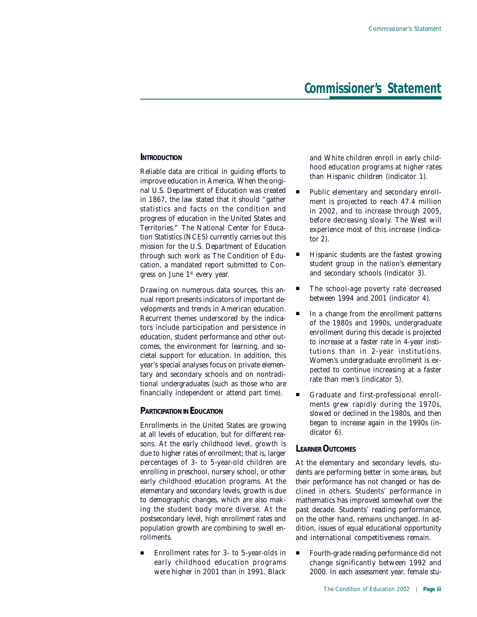#### **INTRODUCTION**

Reliable data are critical in guiding efforts to improve education in America. When the original U.S. Department of Education was created in 1867, the law stated that it should "gather statistics and facts on the condition and progress of education in the United States and Territories." The National Center for Education Statistics (NCES) currently carries out this mission for the U.S. Department of Education through such work as *The Condition of Education,* a mandated report submitted to Congress on June 1st every year.

Drawing on numerous data sources, this annual report presents indicators of important developments and trends in American education. Recurrent themes underscored by the indicators include participation and persistence in education, student performance and other outcomes, the environment for learning, and societal support for education. In addition, this year's special analyses focus on private elementary and secondary schools and on nontraditional undergraduates (such as those who are financially independent or attend part time).

### **PARTICIPATION IN EDUCATION**

Enrollments in the United States are growing at all levels of education, but for different reasons. At the early childhood level, growth is due to higher rates of enrollment; that is, larger percentages of 3- to 5-year-old children are enrolling in preschool, nursery school, or other early childhood education programs. At the elementary and secondary levels, growth is due to demographic changes, which are also making the student body more diverse. At the postsecondary level, high enrollment rates and population growth are combining to swell enrollments.

■ Enrollment rates for 3- to 5-year-olds in early childhood education programs were higher in 2001 than in 1991. Black

and White children enroll in early childhood education programs at higher rates than Hispanic children (*indicator 1*).

- Public elementary and secondary enrollment is projected to reach 47.4 million in 2002, and to increase through 2005, before decreasing slowly. The West will experience most of this increase (*indicator 2*).
- Hispanic students are the fastest growing student group in the nation's elementary and secondary schools (*indicator 3*).
- The school-age poverty rate decreased between 1994 and 2001 (*indicator 4*).
- In a change from the enrollment patterns of the 1980s and 1990s, undergraduate enrollment during this decade is projected to increase at a faster rate in 4-year institutions than in 2-year institutions. Women's undergraduate enrollment is expected to continue increasing at a faster rate than men's (*indicator 5*).
- " Graduate and first-professional enrollments grew rapidly during the 1970s, slowed or declined in the 1980s, and then began to increase again in the 1990s (*indicator 6*).

### **LEARNER OUTCOMES**

At the elementary and secondary levels, students are performing better in some areas, but their performance has not changed or has declined in others. Students' performance in mathematics has improved somewhat over the past decade. Students' reading performance, on the other hand, remains unchanged. In addition, issues of equal educational opportunity and international competitiveness remain.

Fourth-grade reading performance did not change significantly between 1992 and 2000. In each assessment year, female stu-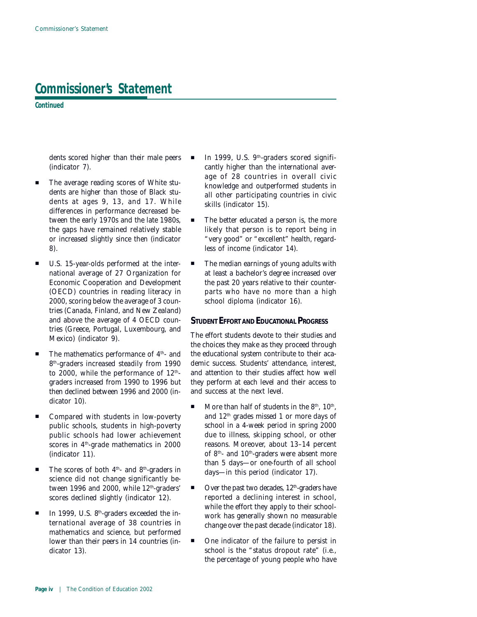**Continued**

dents scored higher than their male peers (*indicator 7*).

- The average reading scores of White students are higher than those of Black students at ages 9, 13, and 17. While differences in performance decreased between the early 1970s and the late 1980s, the gaps have remained relatively stable or increased slightly since then (*indicator 8*).
- U.S. 15-year-olds performed at the international average of 27 Organization for Economic Cooperation and Development (OECD) countries in reading literacy in 2000, scoring below the average of 3 countries (Canada, Finland, and New Zealand) and above the average of 4 OECD countries (Greece, Portugal, Luxembourg, and Mexico) (*indicator 9*).
- $\blacksquare$  The mathematics performance of  $4<sup>th</sup>$  and 8th-graders increased steadily from 1990 to 2000, while the performance of  $12<sup>th</sup>$ graders increased from 1990 to 1996 but then declined between 1996 and 2000 (*indicator 10*).
- Compared with students in low-poverty public schools, students in high-poverty public schools had lower achievement scores in 4th-grade mathematics in 2000 (*indicator 11*).
- $\blacksquare$  The scores of both 4<sup>th</sup>- and 8<sup>th</sup>-graders in science did not change significantly between 1996 and 2000, while 12<sup>th</sup>-graders' scores declined slightly (*indicator 12*).
- $\blacksquare$  In 1999, U.S. 8<sup>th</sup>-graders exceeded the international average of 38 countries in mathematics and science, but performed lower than their peers in 14 countries (*indicator 13*).
- In 1999, U.S. 9<sup>th</sup>-graders scored significantly higher than the international average of 28 countries in overall civic knowledge and outperformed students in all other participating countries in civic skills (*indicator 15*).
- The better educated a person is, the more likely that person is to report being in "very good" or "excellent" health, regardless of income (*indicator 14*).
- The median earnings of young adults with at least a bachelor's degree increased over the past 20 years relative to their counterparts who have no more than a high school diploma (*indicator 16*).

### **STUDENT EFFORT AND EDUCATIONAL PROGRESS**

The effort students devote to their studies and the choices they make as they proceed through the educational system contribute to their academic success. Students' attendance, interest, and attention to their studies affect how well they perform at each level and their access to and success at the next level.

- More than half of students in the  $8<sup>th</sup>$ ,  $10<sup>th</sup>$ , and 12th grades missed 1 or more days of school in a 4-week period in spring 2000 due to illness, skipping school, or other reasons. Moreover, about 13–14 percent of 8<sup>th</sup>- and 10<sup>th</sup>-graders were absent more than 5 days—or one-fourth of all school days—in this period (*indicator 17*).
- Over the past two decades, 12<sup>th</sup>-graders have reported a declining interest in school, while the effort they apply to their schoolwork has generally shown no measurable change over the past decade (*indicator 18*).
- One indicator of the failure to persist in school is the "status dropout rate" (i.e., the percentage of young people who have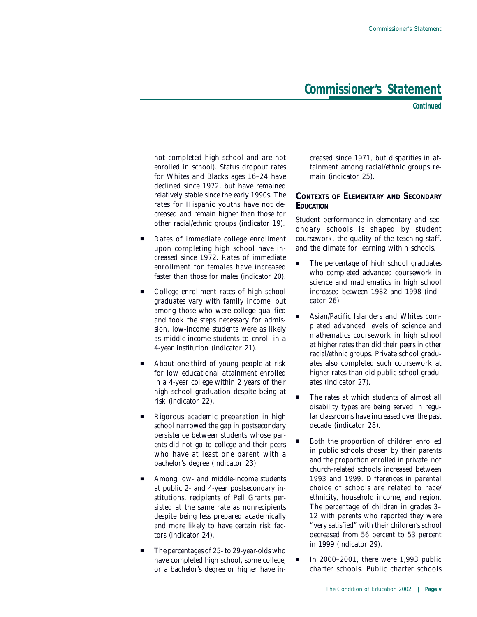**Continued**

not completed high school and are not enrolled in school). Status dropout rates for Whites and Blacks ages 16–24 have declined since 1972, but have remained relatively stable since the early 1990s. The rates for Hispanic youths have not decreased and remain higher than those for other racial/ethnic groups (*indicator 19*).

- Rates of immediate college enrollment upon completing high school have increased since 1972. Rates of immediate enrollment for females have increased faster than those for males (*indicator 20*).
- College enrollment rates of high school graduates vary with family income, but among those who were college qualified and took the steps necessary for admission, low-income students were as likely as middle-income students to enroll in a 4-year institution (*indicator 21*).
- About one-third of young people at risk for low educational attainment enrolled in a 4-year college within 2 years of their high school graduation despite being at risk (*indicator 22*).
- Rigorous academic preparation in high school narrowed the gap in postsecondary persistence between students whose parents did not go to college and their peers who have at least one parent with a bachelor's degree (*indicator 23*).
- Among low- and middle-income students at public 2- and 4-year postsecondary institutions, recipients of Pell Grants persisted at the same rate as nonrecipients despite being less prepared academically and more likely to have certain risk factors (*indicator 24*).
- The percentages of 25- to 29-year-olds who have completed high school, some college, or a bachelor's degree or higher have in-

creased since 1971, but disparities in attainment among racial/ethnic groups remain (*indicator 25*).

### **CONTEXTS OF ELEMENTARY AND SECONDARY EDUCATION**

Student performance in elementary and secondary schools is shaped by student coursework, the quality of the teaching staff, and the climate for learning within schools.

- The percentage of high school graduates who completed advanced coursework in science and mathematics in high school increased between 1982 and 1998 (*indicator 26*).
- Asian/Pacific Islanders and Whites completed advanced levels of science and mathematics coursework in high school at higher rates than did their peers in other racial/ethnic groups. Private school graduates also completed such coursework at higher rates than did public school graduates (*indicator 27*).
- The rates at which students of almost all disability types are being served in regular classrooms have increased over the past decade (*indicator 28*).
- Both the proportion of children enrolled in public schools chosen by their parents and the proportion enrolled in private, not church-related schools increased between 1993 and 1999. Differences in parental choice of schools are related to race/ ethnicity, household income, and region. The percentage of children in grades 3– 12 with parents who reported they were "very satisfied" with their children's school decreased from 56 percent to 53 percent in 1999 (*indicator 29*).
- In 2000–2001, there were 1,993 public charter schools. Public charter schools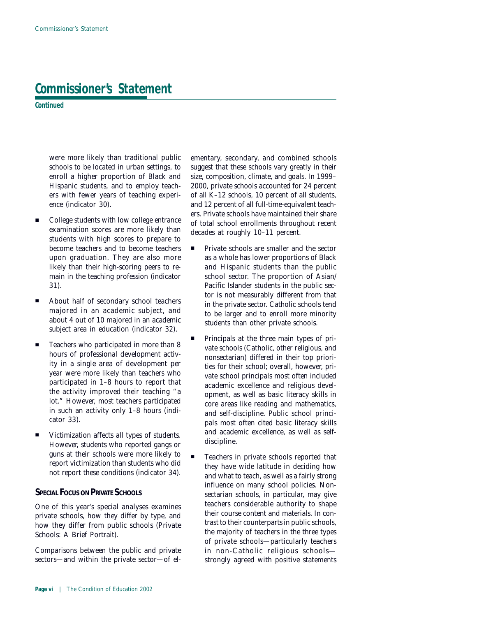**Continued**

were more likely than traditional public schools to be located in urban settings, to enroll a higher proportion of Black and Hispanic students, and to employ teachers with fewer years of teaching experience (*indicator 30*).

- College students with low college entrance examination scores are more likely than students with high scores to prepare to become teachers and to become teachers upon graduation. They are also more likely than their high-scoring peers to remain in the teaching profession (*indicator 31*).
- About half of secondary school teachers majored in an academic subject, and about 4 out of 10 majored in an academic subject area in education (*indicator 32*).
- Teachers who participated in more than 8 hours of professional development activity in a single area of development per year were more likely than teachers who participated in 1–8 hours to report that the activity improved their teaching "a lot." However, most teachers participated in such an activity only 1–8 hours (*indicator 33*).
- Victimization affects all types of students. However, students who reported gangs or guns at their schools were more likely to report victimization than students who did not report these conditions (*indicator 34*).

### **SPECIAL FOCUS ON PRIVATE SCHOOLS**

One of this year's special analyses examines private schools, how they differ by type, and how they differ from public schools (*Private Schools: A Brief Portrait*).

Comparisons between the public and private sectors—and within the private sector—of elementary, secondary, and combined schools suggest that these schools vary greatly in their size, composition, climate, and goals. In 1999– 2000, private schools accounted for 24 percent of all K–12 schools, 10 percent of all students, and 12 percent of all full-time-equivalent teachers. Private schools have maintained their share of total school enrollments throughout recent decades at roughly 10–11 percent.

- **"** Private schools are smaller and the sector as a whole has lower proportions of Black and Hispanic students than the public school sector. The proportion of Asian/ Pacific Islander students in the public sector is not measurably different from that in the private sector. Catholic schools tend to be larger and to enroll more minority students than other private schools.
- Principals at the three main types of private schools (Catholic, other religious, and nonsectarian) differed in their top priorities for their school; overall, however, private school principals most often included academic excellence and religious development, as well as basic literacy skills in core areas like reading and mathematics, and self-discipline. Public school principals most often cited basic literacy skills and academic excellence, as well as selfdiscipline.
- Teachers in private schools reported that they have wide latitude in deciding how and what to teach, as well as a fairly strong influence on many school policies. Nonsectarian schools, in particular, may give teachers considerable authority to shape their course content and materials. In contrast to their counterparts in public schools, the majority of teachers in the three types of private schools—particularly teachers in non-Catholic religious schools strongly agreed with positive statements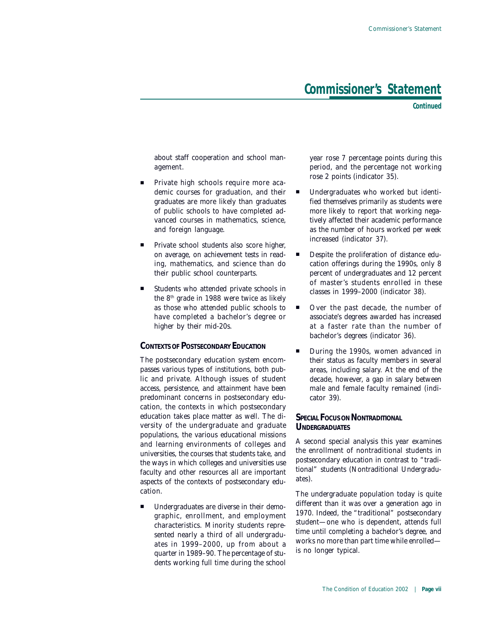**Continued**

about staff cooperation and school management.

- Private high schools require more academic courses for graduation, and their graduates are more likely than graduates of public schools to have completed advanced courses in mathematics, science, and foreign language.
- Private school students also score higher, on average, on achievement tests in reading, mathematics, and science than do their public school counterparts.
- Students who attended private schools in the  $8<sup>th</sup>$  grade in 1988 were twice as likely as those who attended public schools to have completed a bachelor's degree or higher by their mid-20s.

### **CONTEXTS OF POSTSECONDARY EDUCATION**

The postsecondary education system encompasses various types of institutions, both public and private. Although issues of student access, persistence, and attainment have been predominant concerns in postsecondary education, the contexts in which postsecondary education takes place matter as well. The diversity of the undergraduate and graduate populations, the various educational missions and learning environments of colleges and universities, the courses that students take, and the ways in which colleges and universities use faculty and other resources all are important aspects of the contexts of postsecondary education.

" Undergraduates are diverse in their demographic, enrollment, and employment characteristics. Minority students represented nearly a third of all undergraduates in 1999–2000, up from about a quarter in 1989–90. The percentage of students working full time during the school year rose 7 percentage points during this period, and the percentage not working rose 2 points (*indicator 35*).

- Undergraduates who worked but identified themselves primarily as students were more likely to report that working negatively affected their academic performance as the number of hours worked per week increased (*indicator 37*).
- **Despite the proliferation of distance edu**cation offerings during the 1990s, only 8 percent of undergraduates and 12 percent of master's students enrolled in these classes in 1999–2000 (*indicator 38*).
- Over the past decade, the number of associate's degrees awarded has increased at a faster rate than the number of bachelor's degrees (*indicator 36*).
- **During the 1990s, women advanced in** their status as faculty members in several areas, including salary. At the end of the decade, however, a gap in salary between male and female faculty remained (*indicator 39*).

### **SPECIAL FOCUS ON NONTRADITIONAL UNDERGRADUATES**

A second special analysis this year examines the enrollment of nontraditional students in postsecondary education in contrast to "traditional" students (*Nontraditional Undergraduates*).

The undergraduate population today is quite different than it was over a generation ago in 1970. Indeed, the "traditional" postsecondary student—one who is dependent, attends full time until completing a bachelor's degree, and works no more than part time while enrolled is no longer typical.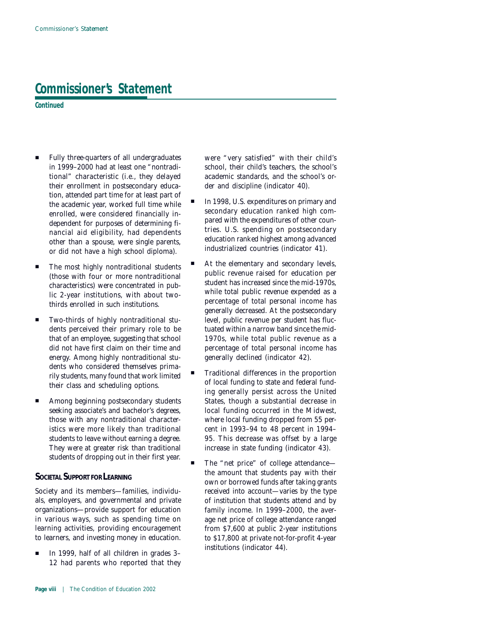**Continued**

- " Fully three-quarters of all undergraduates in 1999–2000 had at least one "nontraditional" characteristic (i.e., they delayed their enrollment in postsecondary education, attended part time for at least part of the academic year, worked full time while enrolled, were considered financially independent for purposes of determining financial aid eligibility, had dependents other than a spouse, were single parents, or did not have a high school diploma).
- The most highly nontraditional students (those with four or more nontraditional characteristics) were concentrated in public 2-year institutions, with about twothirds enrolled in such institutions.
- " Two-thirds of highly nontraditional students perceived their primary role to be that of an employee, suggesting that school did not have first claim on their time and energy. Among highly nontraditional students who considered themselves primarily students, many found that work limited their class and scheduling options.
- **EXECUTE:** Among beginning postsecondary students seeking associate's and bachelor's degrees, those with any nontraditional characteristics were more likely than traditional students to leave without earning a degree. They were at greater risk than traditional students of dropping out in their first year.

### **SOCIETAL SUPPORT FOR LEARNING**

Society and its members—families, individuals, employers, and governmental and private organizations—provide support for education in various ways, such as spending time on learning activities, providing encouragement to learners, and investing money in education.

In 1999, half of all children in grades 3-12 had parents who reported that they

were "very satisfied" with their child's school, their child's teachers, the school's academic standards, and the school's order and discipline (*indicator 40*).

- In 1998, U.S. expenditures on primary and secondary education ranked high compared with the expenditures of other countries. U.S. spending on postsecondary education ranked highest among advanced industrialized countries (*indicator 41*).
- At the elementary and secondary levels, public revenue raised for education per student has increased since the mid-1970s, while total public revenue expended as a percentage of total personal income has generally decreased. At the postsecondary level, public revenue per student has fluctuated within a narrow band since the mid-1970s, while total public revenue as a percentage of total personal income has generally declined (*indicator 42*).
- " Traditional differences in the proportion of local funding to state and federal funding generally persist across the United States, though a substantial decrease in local funding occurred in the Midwest, where local funding dropped from 55 percent in 1993–94 to 48 percent in 1994– 95. This decrease was offset by a large increase in state funding (*indicator 43*).
- The "net price" of college attendancethe amount that students pay with their own or borrowed funds after taking grants received into account—varies by the type of institution that students attend and by family income. In 1999–2000, the average net price of college attendance ranged from \$7,600 at public 2-year institutions to \$17,800 at private not-for-profit 4-year institutions (*indicator 44*).